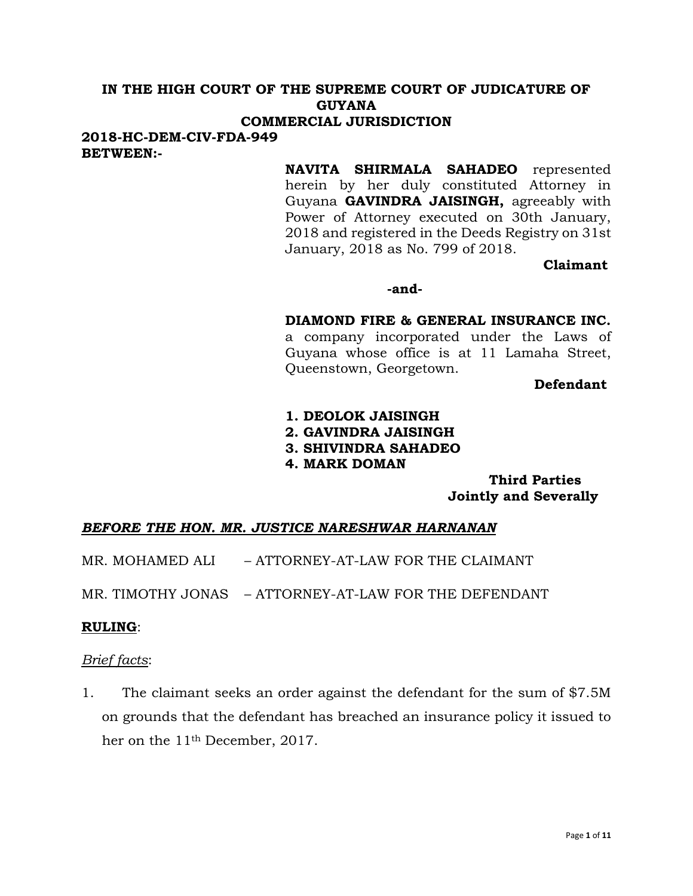# **IN THE HIGH COURT OF THE SUPREME COURT OF JUDICATURE OF GUYANA**

# **COMMERCIAL JURISDICTION**

**2018-HC-DEM-CIV-FDA-949 BETWEEN:-**

> **NAVITA SHIRMALA SAHADEO** represented herein by her duly constituted Attorney in Guyana **GAVINDRA JAISINGH,** agreeably with Power of Attorney executed on 30th January, 2018 and registered in the Deeds Registry on 31st January, 2018 as No. 799 of 2018.

> > **Claimant**

#### **-and-**

### **DIAMOND FIRE & GENERAL INSURANCE INC.**

a company incorporated under the Laws of Guyana whose office is at 11 Lamaha Street, Queenstown, Georgetown.

**Defendant**

- **1. DEOLOK JAISINGH**
- **2. GAVINDRA JAISINGH**
- **3. SHIVINDRA SAHADEO**
- **4. MARK DOMAN**

**Third Parties Jointly and Severally**

### *BEFORE THE HON. MR. JUSTICE NARESHWAR HARNANAN*

- MR. MOHAMED ALI ATTORNEY-AT-LAW FOR THE CLAIMANT
- MR. TIMOTHY JONAS ATTORNEY-AT-LAW FOR THE DEFENDANT

#### **RULING**:

#### *Brief facts*:

1. The claimant seeks an order against the defendant for the sum of \$7.5M on grounds that the defendant has breached an insurance policy it issued to her on the 11th December, 2017.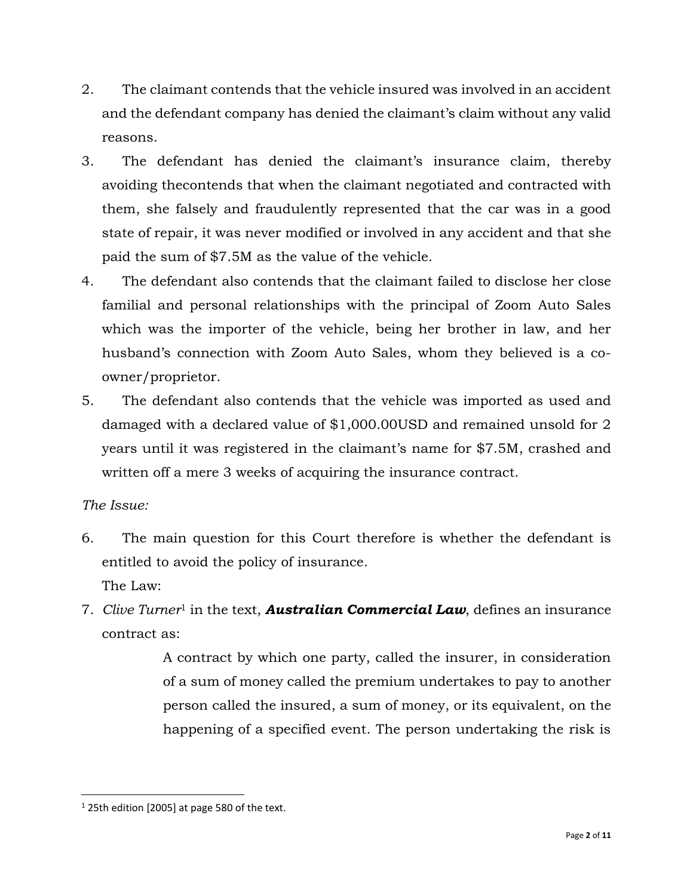- 2. The claimant contends that the vehicle insured was involved in an accident and the defendant company has denied the claimant's claim without any valid reasons.
- 3. The defendant has denied the claimant's insurance claim, thereby avoiding thecontends that when the claimant negotiated and contracted with them, she falsely and fraudulently represented that the car was in a good state of repair, it was never modified or involved in any accident and that she paid the sum of \$7.5M as the value of the vehicle.
- 4. The defendant also contends that the claimant failed to disclose her close familial and personal relationships with the principal of Zoom Auto Sales which was the importer of the vehicle, being her brother in law, and her husband's connection with Zoom Auto Sales, whom they believed is a coowner/proprietor.
- 5. The defendant also contends that the vehicle was imported as used and damaged with a declared value of \$1,000.00USD and remained unsold for 2 years until it was registered in the claimant's name for \$7.5M, crashed and written off a mere 3 weeks of acquiring the insurance contract.

# *The Issue:*

- 6. The main question for this Court therefore is whether the defendant is entitled to avoid the policy of insurance. The Law:
- 7. *Clive Turner*<sup>1</sup> in the text, *Australian Commercial Law*, defines an insurance contract as:

A contract by which one party, called the insurer, in consideration of a sum of money called the premium undertakes to pay to another person called the insured, a sum of money, or its equivalent, on the happening of a specified event. The person undertaking the risk is

<sup>&</sup>lt;sup>1</sup> 25th edition [2005] at page 580 of the text.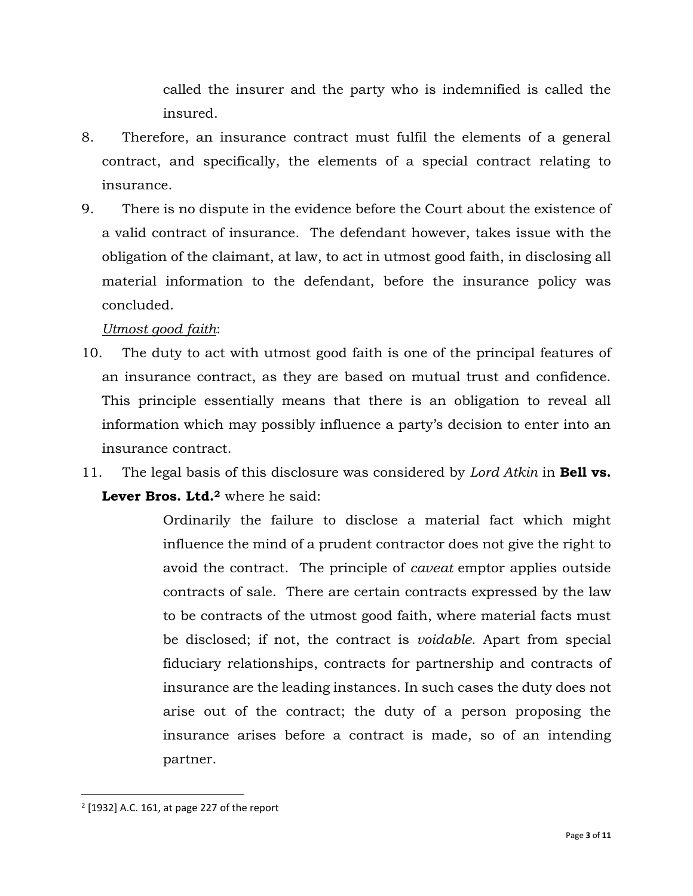called the insurer and the party who is indemnified is called the insured.

- 8. Therefore, an insurance contract must fulfil the elements of a general contract, and specifically, the elements of a special contract relating to insurance.
- 9. There is no dispute in the evidence before the Court about the existence of a valid contract of insurance. The defendant however, takes issue with the obligation of the claimant, at law, to act in utmost good faith, in disclosing all material information to the defendant, before the insurance policy was concluded.

# *Utmost good faith*:

- 10. The duty to act with utmost good faith is one of the principal features of an insurance contract, as they are based on mutual trust and confidence. This principle essentially means that there is an obligation to reveal all information which may possibly influence a party's decision to enter into an insurance contract.
- 11. The legal basis of this disclosure was considered by *Lord Atkin* in **Bell vs. Lever Bros. Ltd.<sup>2</sup>** where he said:

Ordinarily the failure to disclose a material fact which might influence the mind of a prudent contractor does not give the right to avoid the contract. The principle of *caveat* emptor applies outside contracts of sale. There are certain contracts expressed by the law to be contracts of the utmost good faith, where material facts must be disclosed; if not, the contract is *voidable*. Apart from special fiduciary relationships, contracts for partnership and contracts of insurance are the leading instances. In such cases the duty does not arise out of the contract; the duty of a person proposing the insurance arises before a contract is made, so of an intending partner.

 $2$  [1932] A.C. 161, at page 227 of the report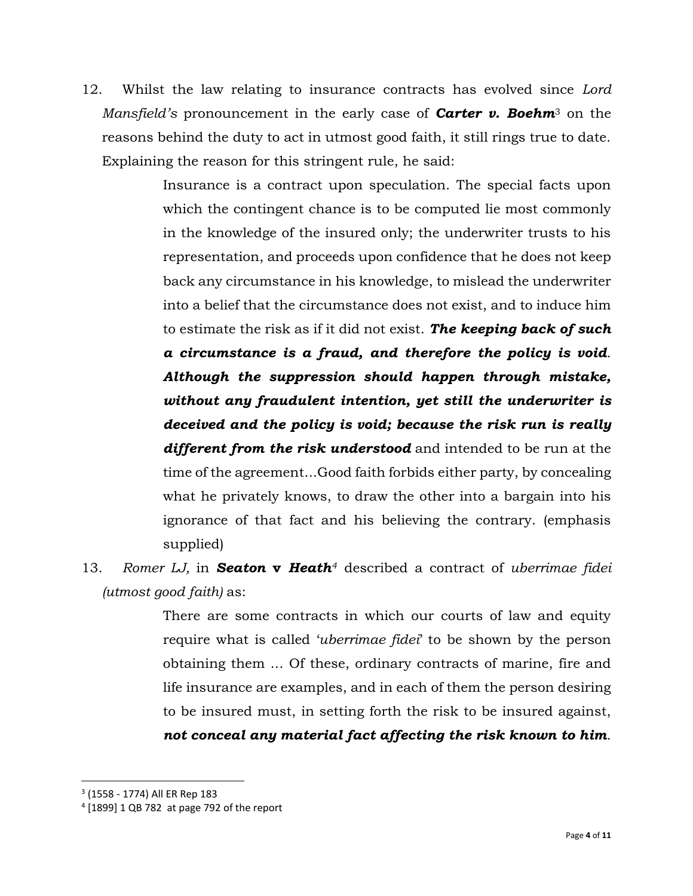12. Whilst the law relating to insurance contracts has evolved since *Lord Mansfield's* pronouncement in the early case of *Carter v. Boehm*<sup>3</sup> on the reasons behind the duty to act in utmost good faith, it still rings true to date. Explaining the reason for this stringent rule, he said:

> Insurance is a contract upon speculation. The special facts upon which the contingent chance is to be computed lie most commonly in the knowledge of the insured only; the underwriter trusts to his representation, and proceeds upon confidence that he does not keep back any circumstance in his knowledge, to mislead the underwriter into a belief that the circumstance does not exist, and to induce him to estimate the risk as if it did not exist. *The keeping back of such a circumstance is a fraud, and therefore the policy is void*. *Although the suppression should happen through mistake, without any fraudulent intention, yet still the underwriter is deceived and the policy is void; because the risk run is really different from the risk understood* and intended to be run at the time of the agreement...Good faith forbids either party, by concealing what he privately knows, to draw the other into a bargain into his ignorance of that fact and his believing the contrary. (emphasis supplied)

13. *Romer LJ,* in *Seaton* **v** *Heath<sup>4</sup>* described a contract of *uberrimae fidei (utmost good faith)* as:

> There are some contracts in which our courts of law and equity require what is called '*uberrimae fidei*' to be shown by the person obtaining them ... Of these, ordinary contracts of marine, fire and life insurance are examples, and in each of them the person desiring to be insured must, in setting forth the risk to be insured against, *not conceal any material fact affecting the risk known to him*.

<sup>3</sup> (1558 - 1774) All ER Rep 183

<sup>4</sup> [1899] 1 QB 782 at page 792 of the report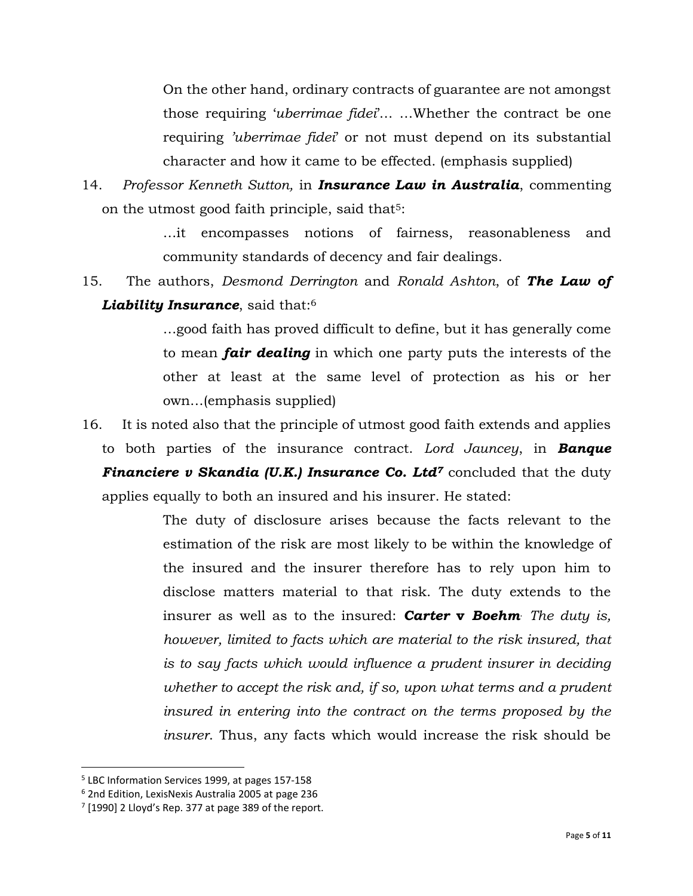On the other hand, ordinary contracts of guarantee are not amongst those requiring '*uberrimae fidei*'… …Whether the contract be one requiring *'uberrimae fidei*' or not must depend on its substantial character and how it came to be effected. (emphasis supplied)

14. *Professor Kenneth Sutton,* in *Insurance Law in Australia*, commenting on the utmost good faith principle, said that<sup>5</sup>:

> …it encompasses notions of fairness, reasonableness and community standards of decency and fair dealings.

15. The authors, *Desmond Derrington* and *Ronald Ashton*, of *The Law of Liability Insurance*, said that:<sup>6</sup>

> …good faith has proved difficult to define, but it has generally come to mean *fair dealing* in which one party puts the interests of the other at least at the same level of protection as his or her own…(emphasis supplied)

16. It is noted also that the principle of utmost good faith extends and applies to both parties of the insurance contract. *Lord Jauncey*, in *Banque Financiere v Skandia (U.K.) Insurance Co. Ltd<sup>7</sup> concluded that the duty* applies equally to both an insured and his insurer. He stated:

> The duty of disclosure arises because the facts relevant to the estimation of the risk are most likely to be within the knowledge of the insured and the insurer therefore has to rely upon him to disclose matters material to that risk. The duty extends to the insurer as well as to the insured: *Carter* **v** *Boehm*. *The duty is, however, limited to facts which are material to the risk insured, that is to say facts which would influence a prudent insurer in deciding whether to accept the risk and, if so, upon what terms and a prudent insured in entering into the contract on the terms proposed by the insurer*. Thus, any facts which would increase the risk should be

<sup>5</sup> LBC Information Services 1999, at pages 157-158

<sup>6</sup> 2nd Edition, LexisNexis Australia 2005 at page 236

 $7$  [1990] 2 Lloyd's Rep. 377 at page 389 of the report.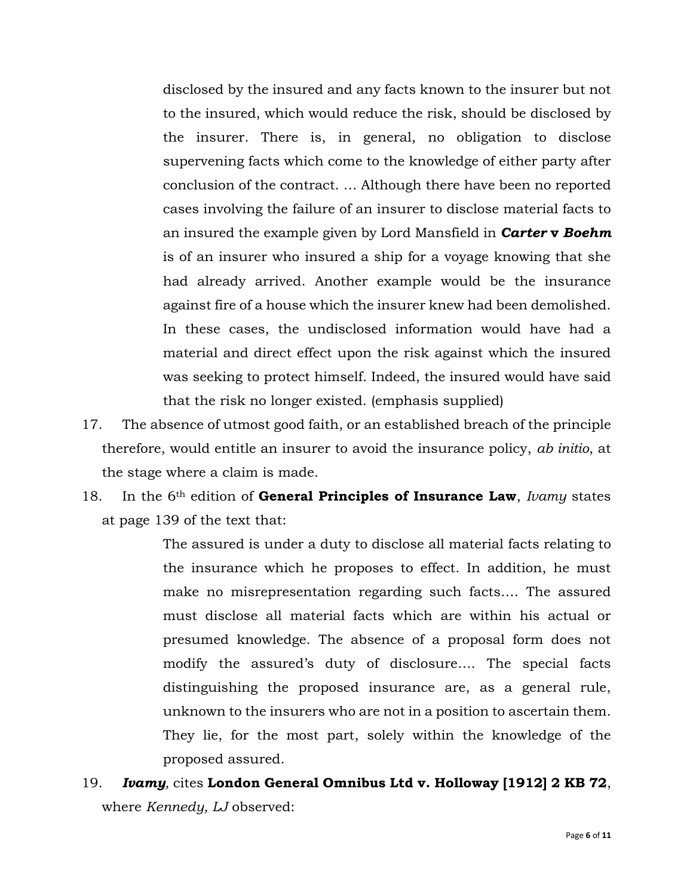disclosed by the insured and any facts known to the insurer but not to the insured, which would reduce the risk, should be disclosed by the insurer. There is, in general, no obligation to disclose supervening facts which come to the knowledge of either party after conclusion of the contract. … Although there have been no reported cases involving the failure of an insurer to disclose material facts to an insured the example given by Lord Mansfield in *Carter* **v** *Boehm* is of an insurer who insured a ship for a voyage knowing that she had already arrived. Another example would be the insurance against fire of a house which the insurer knew had been demolished. In these cases, the undisclosed information would have had a material and direct effect upon the risk against which the insured was seeking to protect himself. Indeed, the insured would have said that the risk no longer existed. (emphasis supplied)

- 17. The absence of utmost good faith, or an established breach of the principle therefore, would entitle an insurer to avoid the insurance policy, *ab initio*, at the stage where a claim is made.
- 18. In the 6th edition of **General Principles of Insurance Law**, *Ivamy* states at page 139 of the text that:

The assured is under a duty to disclose all material facts relating to the insurance which he proposes to effect. In addition, he must make no misrepresentation regarding such facts…. The assured must disclose all material facts which are within his actual or presumed knowledge. The absence of a proposal form does not modify the assured's duty of disclosure…. The special facts distinguishing the proposed insurance are, as a general rule, unknown to the insurers who are not in a position to ascertain them. They lie, for the most part, solely within the knowledge of the proposed assured.

19. *Ivamy,* cites **London General Omnibus Ltd v. Holloway [1912] 2 KB 72**, where *Kennedy, LJ* observed: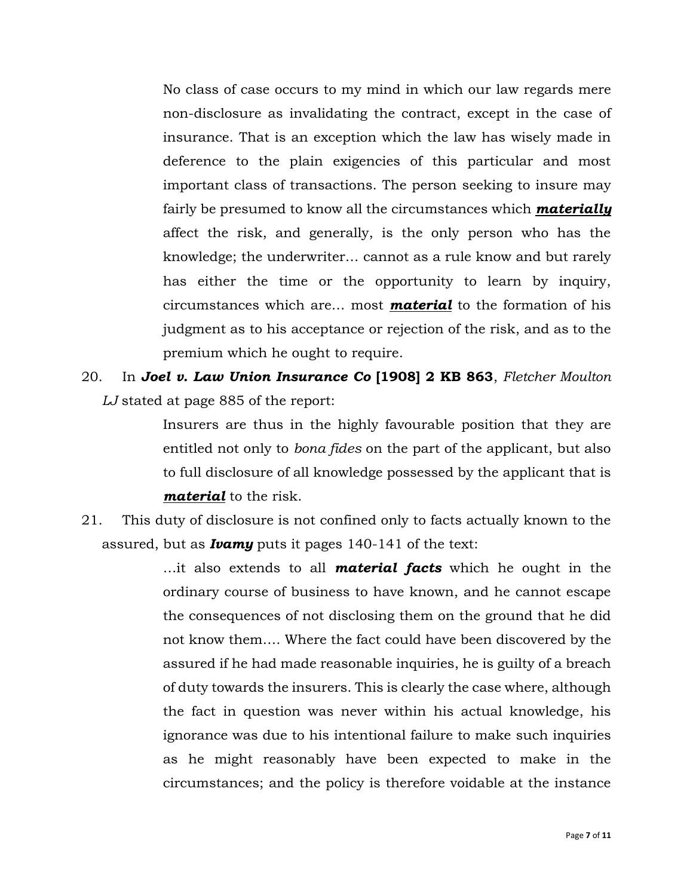No class of case occurs to my mind in which our law regards mere non-disclosure as invalidating the contract, except in the case of insurance. That is an exception which the law has wisely made in deference to the plain exigencies of this particular and most important class of transactions. The person seeking to insure may fairly be presumed to know all the circumstances which *materially* affect the risk, and generally, is the only person who has the knowledge; the underwriter… cannot as a rule know and but rarely has either the time or the opportunity to learn by inquiry, circumstances which are… most *material* to the formation of his judgment as to his acceptance or rejection of the risk, and as to the premium which he ought to require.

20. In *Joel v. Law Union Insurance Co* **[1908] 2 KB 863**, *Fletcher Moulton LJ* stated at page 885 of the report:

> Insurers are thus in the highly favourable position that they are entitled not only to *bona fides* on the part of the applicant, but also to full disclosure of all knowledge possessed by the applicant that is *material* to the risk.

21. This duty of disclosure is not confined only to facts actually known to the assured, but as *Ivamy* puts it pages 140-141 of the text:

> …it also extends to all *material facts* which he ought in the ordinary course of business to have known, and he cannot escape the consequences of not disclosing them on the ground that he did not know them…. Where the fact could have been discovered by the assured if he had made reasonable inquiries, he is guilty of a breach of duty towards the insurers. This is clearly the case where, although the fact in question was never within his actual knowledge, his ignorance was due to his intentional failure to make such inquiries as he might reasonably have been expected to make in the circumstances; and the policy is therefore voidable at the instance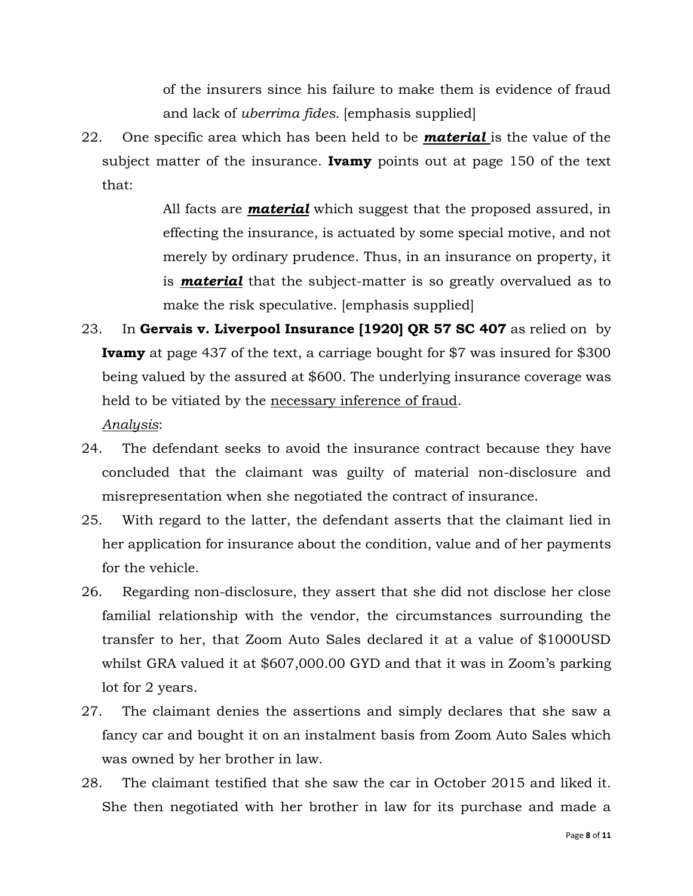of the insurers since his failure to make them is evidence of fraud and lack of *uberrima fides.* [emphasis supplied]

22. One specific area which has been held to be *material* is the value of the subject matter of the insurance. **Ivamy** points out at page 150 of the text that:

> All facts are *material* which suggest that the proposed assured, in effecting the insurance, is actuated by some special motive, and not merely by ordinary prudence. Thus, in an insurance on property, it is *material* that the subject-matter is so greatly overvalued as to make the risk speculative. [emphasis supplied]

23. In **Gervais v. Liverpool Insurance [1920] QR 57 SC 407** as relied on by **Ivamy** at page 437 of the text, a carriage bought for \$7 was insured for \$300 being valued by the assured at \$600. The underlying insurance coverage was held to be vitiated by the necessary inference of fraud.

*Analysis*:

- 24. The defendant seeks to avoid the insurance contract because they have concluded that the claimant was guilty of material non-disclosure and misrepresentation when she negotiated the contract of insurance.
- 25. With regard to the latter, the defendant asserts that the claimant lied in her application for insurance about the condition, value and of her payments for the vehicle.
- 26. Regarding non-disclosure, they assert that she did not disclose her close familial relationship with the vendor, the circumstances surrounding the transfer to her, that Zoom Auto Sales declared it at a value of \$1000USD whilst GRA valued it at \$607,000.00 GYD and that it was in Zoom's parking lot for 2 years.
- 27. The claimant denies the assertions and simply declares that she saw a fancy car and bought it on an instalment basis from Zoom Auto Sales which was owned by her brother in law.
- 28. The claimant testified that she saw the car in October 2015 and liked it. She then negotiated with her brother in law for its purchase and made a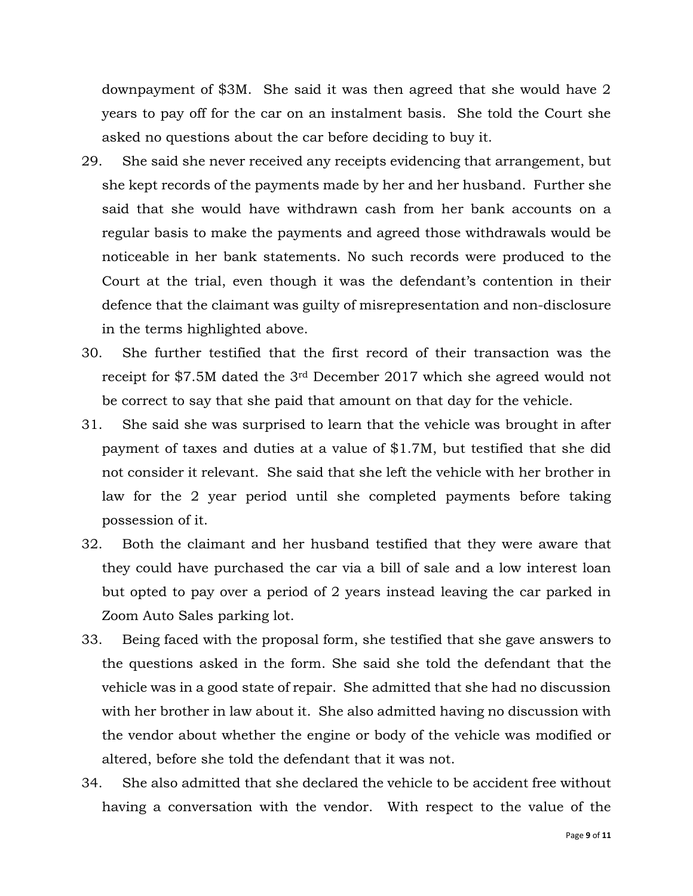downpayment of \$3M. She said it was then agreed that she would have 2 years to pay off for the car on an instalment basis. She told the Court she asked no questions about the car before deciding to buy it.

- 29. She said she never received any receipts evidencing that arrangement, but she kept records of the payments made by her and her husband. Further she said that she would have withdrawn cash from her bank accounts on a regular basis to make the payments and agreed those withdrawals would be noticeable in her bank statements. No such records were produced to the Court at the trial, even though it was the defendant's contention in their defence that the claimant was guilty of misrepresentation and non-disclosure in the terms highlighted above.
- 30. She further testified that the first record of their transaction was the receipt for \$7.5M dated the 3rd December 2017 which she agreed would not be correct to say that she paid that amount on that day for the vehicle.
- 31. She said she was surprised to learn that the vehicle was brought in after payment of taxes and duties at a value of \$1.7M, but testified that she did not consider it relevant. She said that she left the vehicle with her brother in law for the 2 year period until she completed payments before taking possession of it.
- 32. Both the claimant and her husband testified that they were aware that they could have purchased the car via a bill of sale and a low interest loan but opted to pay over a period of 2 years instead leaving the car parked in Zoom Auto Sales parking lot.
- 33. Being faced with the proposal form, she testified that she gave answers to the questions asked in the form. She said she told the defendant that the vehicle was in a good state of repair. She admitted that she had no discussion with her brother in law about it. She also admitted having no discussion with the vendor about whether the engine or body of the vehicle was modified or altered, before she told the defendant that it was not.
- 34. She also admitted that she declared the vehicle to be accident free without having a conversation with the vendor. With respect to the value of the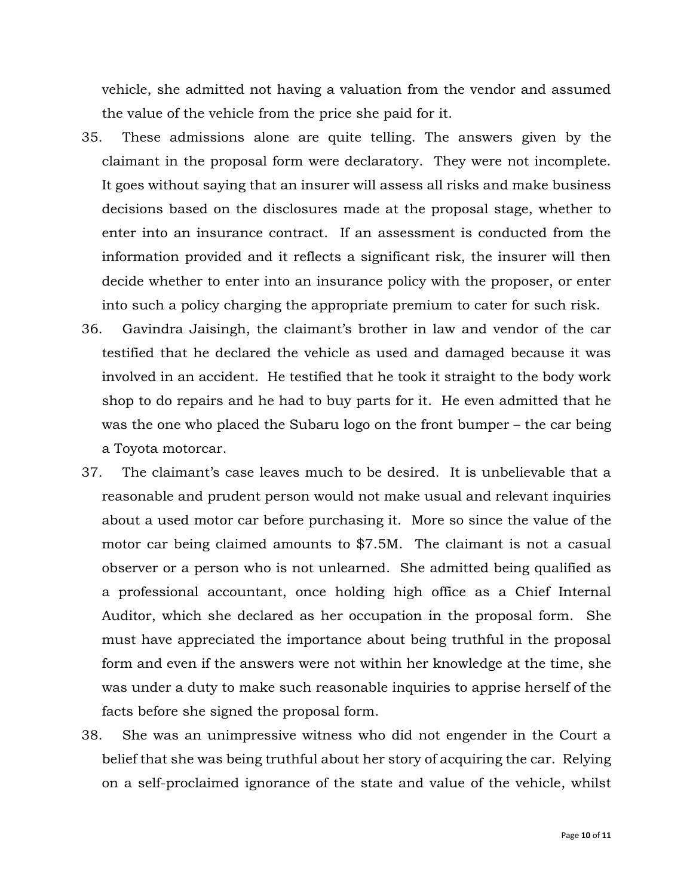vehicle, she admitted not having a valuation from the vendor and assumed the value of the vehicle from the price she paid for it.

- 35. These admissions alone are quite telling. The answers given by the claimant in the proposal form were declaratory. They were not incomplete. It goes without saying that an insurer will assess all risks and make business decisions based on the disclosures made at the proposal stage, whether to enter into an insurance contract. If an assessment is conducted from the information provided and it reflects a significant risk, the insurer will then decide whether to enter into an insurance policy with the proposer, or enter into such a policy charging the appropriate premium to cater for such risk.
- 36. Gavindra Jaisingh, the claimant's brother in law and vendor of the car testified that he declared the vehicle as used and damaged because it was involved in an accident. He testified that he took it straight to the body work shop to do repairs and he had to buy parts for it. He even admitted that he was the one who placed the Subaru logo on the front bumper – the car being a Toyota motorcar.
- 37. The claimant's case leaves much to be desired. It is unbelievable that a reasonable and prudent person would not make usual and relevant inquiries about a used motor car before purchasing it. More so since the value of the motor car being claimed amounts to \$7.5M. The claimant is not a casual observer or a person who is not unlearned. She admitted being qualified as a professional accountant, once holding high office as a Chief Internal Auditor, which she declared as her occupation in the proposal form. She must have appreciated the importance about being truthful in the proposal form and even if the answers were not within her knowledge at the time, she was under a duty to make such reasonable inquiries to apprise herself of the facts before she signed the proposal form.
- 38. She was an unimpressive witness who did not engender in the Court a belief that she was being truthful about her story of acquiring the car. Relying on a self-proclaimed ignorance of the state and value of the vehicle, whilst